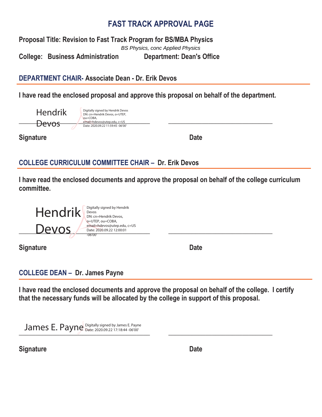# **FAST TRACK APPROVAL PAGE**

**Proposal Title: Revision to Fast Track Program for BS/MBA Physics** 

**College: Business Administration Department: Dean's Office**  BS Physics, conc Applied Physics

**DEPARTMENT CHAIR- Associate Dean - Dr. Erik Devos** 

**I have read the enclosed proposal and approve this proposal on behalf of the department.** 

| Hendrik   | Digitally signed by Hendrik Devos<br>DN: cn=Hendrik Devos, o=UTEP, |
|-----------|--------------------------------------------------------------------|
| $\lambda$ | ou=COBA.<br>email=hdevos@utep.edu, c=US                            |
| DEVOS     | Date: 2020.09.22 11:59:45 -06'00'                                  |

**Signature Date** Date **Date** 

# **COLLEGE CURRICULUM COMMITTEE CHAIR – Dr. Erik Devos**

**I have read the enclosed documents and approve the proposal on behalf of the college curriculum committee.** 

 $\rho$ email=hdevos@utep.edu, c=US<br>Devos *Date:* 2020.09.22 12:00:01 Hendrik Digitally signed by Hendrik Devos DN: cn=Hendrik Devos, o=UTEP, ou=COBA, email=hdevos@utep.edu, c=US Date: 2020.09.22 12:00:01 -06'00'

**Signature Date** Date **Date** 

### **COLLEGE DEAN – Dr. James Payne**

**I have read the enclosed documents and approve the proposal on behalf of the college. I certify that the necessary funds will be allocated by the college in support of this proposal.** 

James E. Payne Digitally signed by James E. Payne **Digitally Signed by James E. Payne** 2020.09.22 17:18:44 -06'00'

**Signature Date** Date **Date**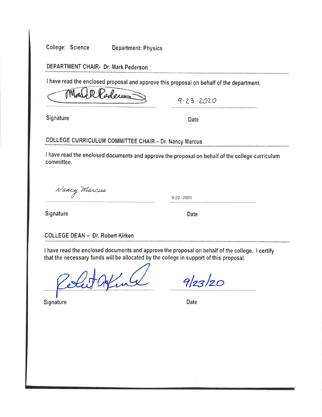College: Science

**Department: Physics** 

DEPARTMENT CHAIR- Dr. Mark Pederson

I have read the enclosed proposal and approve this proposal on behalf of the department.

Pledera

 $9.23.2020$ 

Signature

Date

## **COLLEGE CURRICULUM COMMITTEE CHAIR - Dr. Nancy Marcus**

I have read the enclosed documents and approve the proposal on behalf of the college curriculum committee.

Nancy Marcus

9-22, - 2020

Signature

**Date** 

#### **COLLEGE DEAN - Dr. Robert Kirken**

I have read the enclosed documents and approve the proposal on behalf of the college. I certify that the necessary funds will be allocated by the college in support of this proposal.

Sut Ating

**Signature** 

 $9/23/20$ 

Date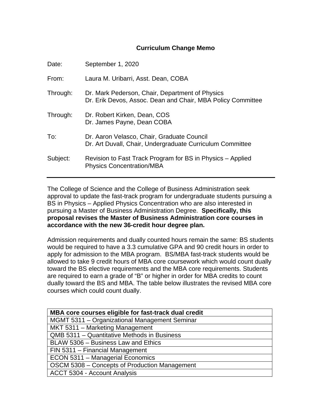### **Curriculum Change Memo**

| Date:    | September 1, 2020                                                                                              |
|----------|----------------------------------------------------------------------------------------------------------------|
| From:    | Laura M. Uribarri, Asst. Dean, COBA                                                                            |
| Through: | Dr. Mark Pederson, Chair, Department of Physics<br>Dr. Erik Devos, Assoc. Dean and Chair, MBA Policy Committee |
| Through: | Dr. Robert Kirken, Dean, COS<br>Dr. James Payne, Dean COBA                                                     |
| To:      | Dr. Aaron Velasco, Chair, Graduate Council<br>Dr. Art Duvall, Chair, Undergraduate Curriculum Committee        |
| Subject: | Revision to Fast Track Program for BS in Physics - Applied<br><b>Physics Concentration/MBA</b>                 |

The College of Science and the College of Business Administration seek approval to update the fast-track program for undergraduate students pursuing a BS in Physics – Applied Physics Concentration who are also interested in pursuing a Master of Business Administration Degree. **Specifically, this proposal revises the Master of Business Administration core courses in accordance with the new 36-credit hour degree plan.**

Admission requirements and dually counted hours remain the same: BS students would be required to have a 3.3 cumulative GPA and 90 credit hours in order to apply for admission to the MBA program. BS/MBA fast-track students would be allowed to take 9 credit hours of MBA core coursework which would count dually toward the BS elective requirements and the MBA core requirements. Students are required to earn a grade of "B" or higher in order for MBA credits to count dually toward the BS and MBA. The table below illustrates the revised MBA core courses which could count dually.

| MBA core courses eligible for fast-track dual credit |  |
|------------------------------------------------------|--|
| MGMT 5311 - Organizational Management Seminar        |  |
| MKT 5311 - Marketing Management                      |  |
| QMB 5311 - Quantitative Methods in Business          |  |
| BLAW 5306 - Business Law and Ethics                  |  |
| FIN 5311 - Financial Management                      |  |
| ECON 5311 - Managerial Economics                     |  |
| OSCM 5308 - Concepts of Production Management        |  |
| ACCT 5304 - Account Analysis                         |  |